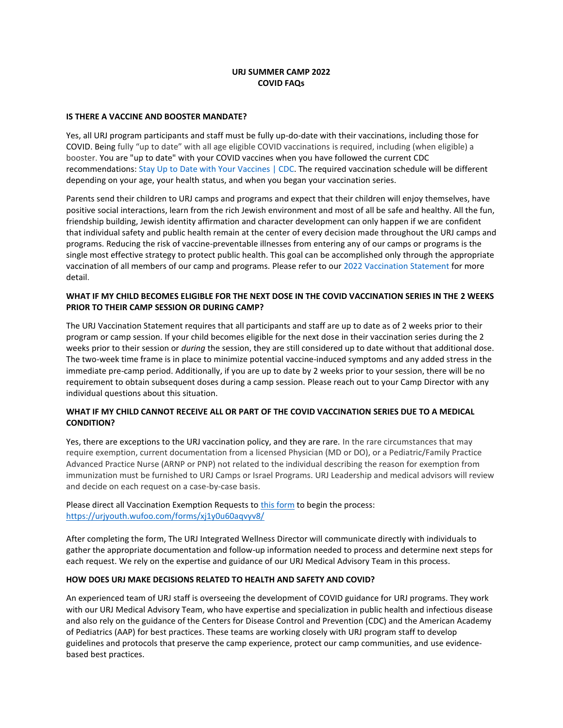# **URJ SUMMER CAMP 2022 COVID FAQs**

#### **IS THERE A VACCINE AND BOOSTER MANDATE?**

Yes, all URJ program participants and staff must be fully up-do-date with their vaccinations, including those for COVID. Being fully "up to date" with all age eligible COVID vaccinations is required, including (when eligible) a booster. You are "up to date" with your COVID vaccines when you have followed the current CDC recommendations: Stay Up to Date with Your [Vaccines](https://www.cdc.gov/coronavirus/2019-ncov/vaccines/stay-up-to-date.html) | CDC. The required vaccination schedule will be different depending on your age, your health status, and when you began your vaccination series.

Parents send their children to URJ camps and programs and expect that their children will enjoy themselves, have positive social interactions, learn from the rich Jewish environment and most of all be safe and healthy. All the fun, friendship building, Jewish identity affirmation and character development can only happen if we are confident that individual safety and public health remain at the center of every decision made throughout the URJ camps and programs. Reducing the risk of vaccine-preventable illnesses from entering any of our camps or programs is the single most effective strategy to protect public health. This goal can be accomplished only through the appropriate vaccination of all members of our camp and programs. Please refer to our 2022 [Vaccination](https://urj.org/sites/default/files/2022-03/URJ-Vaccination-Statement-2022.pdf) Statement for more detail.

## **WHAT IF MY CHILD BECOMES ELIGIBLE FOR THE NEXT DOSE IN THE COVID VACCINATION SERIES IN THE 2 WEEKS PRIOR TO THEIR CAMP SESSION OR DURING CAMP?**

The URJ Vaccination Statement requires that all participants and staff are up to date as of 2 weeks prior to their program or camp session. If your child becomes eligible for the next dose in their vaccination series during the 2 weeks prior to their session or *during* the session, they are still considered up to date without that additional dose. The two-week time frame is in place to minimize potential vaccine-induced symptoms and any added stress in the immediate pre-camp period. Additionally, if you are up to date by 2 weeks prior to your session, there will be no requirement to obtain subsequent doses during a camp session. Please reach out to your Camp Director with any individual questions about this situation.

## **WHAT IF MY CHILD CANNOT RECEIVE ALL OR PART OF THE COVID VACCINATION SERIES DUE TO A MEDICAL CONDITION?**

Yes, there are exceptions to the URJ vaccination policy, and they are rare. In the rare circumstances that may require exemption, current documentation from a licensed Physician (MD or DO), or a Pediatric/Family Practice Advanced Practice Nurse (ARNP or PNP) not related to the individual describing the reason for exemption from immunization must be furnished to URJ Camps or Israel Programs. URJ Leadership and medical advisors will review and decide on each request on a case-by-case basis.

# Please direct all Vaccination Exemption Requests to [this form](https://urjyouth.wufoo.com/forms/xj1y0u60aqvyv8/) to begin the process: <https://urjyouth.wufoo.com/forms/xj1y0u60aqvyv8/>

After completing the form, The URJ Integrated Wellness Director will communicate directly with individuals to gather the appropriate documentation and follow-up information needed to process and determine next steps for each request. We rely on the expertise and guidance of our URJ Medical Advisory Team in this process.

#### **HOW DOES URJ MAKE DECISIONS RELATED TO HEALTH AND SAFETY AND COVID?**

An experienced team of URJ staff is overseeing the development of COVID guidance for URJ programs. They work with our URJ Medical Advisory Team, who have expertise and specialization in public health and infectious disease and also rely on the guidance of the Centers for Disease Control and Prevention (CDC) and the American Academy of Pediatrics (AAP) for best practices. These teams are working closely with URJ program staff to develop guidelines and protocols that preserve the camp experience, protect our camp communities, and use evidencebased best practices.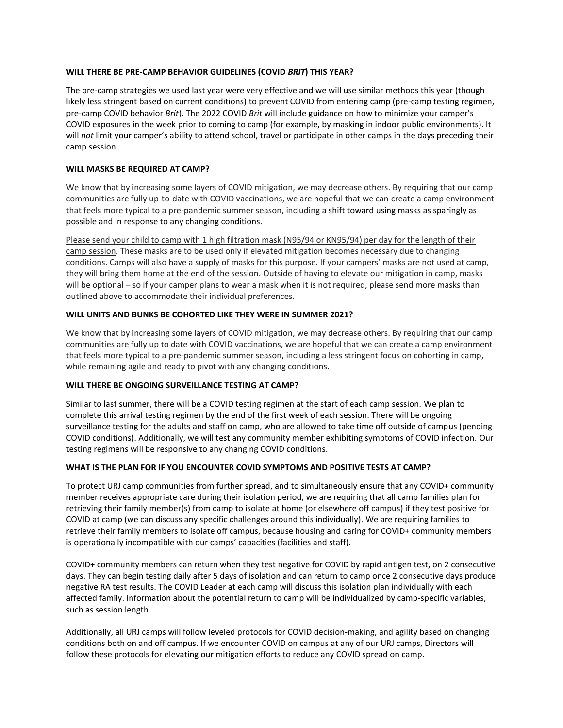## **WILL THERE BE PRE-CAMP BEHAVIOR GUIDELINES (COVID** *BRIT***) THIS YEAR?**

The pre-camp strategies we used last year were very effective and we will use similar methods this year (though likely less stringent based on current conditions) to prevent COVID from entering camp (pre-camp testing regimen, pre-camp COVID behavior *Brit*). The 2022 COVID *Brit* will include guidance on how to minimize your camper's COVID exposures in the week prior to coming to camp (for example, by masking in indoor public environments). It will *not* limit your camper's ability to attend school, travel or participate in other camps in the days preceding their camp session.

## **WILL MASKS BE REQUIRED AT CAMP?**

We know that by increasing some layers of COVID mitigation, we may decrease others. By requiring that our camp communities are fully up-to-date with COVID vaccinations, we are hopeful that we can create a camp environment that feels more typical to a pre-pandemic summer season, including a shift toward using masks as sparingly as possible and in response to any changing conditions.

Please send your child to camp with 1 high filtration mask (N95/94 or KN95/94) per day for the length of their camp session. These masks are to be used only if elevated mitigation becomes necessary due to changing conditions. Camps will also have a supply of masks for this purpose. If your campers' masks are not used at camp, they will bring them home at the end of the session. Outside of having to elevate our mitigation in camp, masks will be optional – so if your camper plans to wear a mask when it is not required, please send more masks than outlined above to accommodate their individual preferences.

## **WILL UNITS AND BUNKS BE COHORTED LIKE THEY WERE IN SUMMER 2021?**

We know that by increasing some layers of COVID mitigation, we may decrease others. By requiring that our camp communities are fully up to date with COVID vaccinations, we are hopeful that we can create a camp environment that feels more typical to a pre-pandemic summer season, including a less stringent focus on cohorting in camp, while remaining agile and ready to pivot with any changing conditions.

#### **WILL THERE BE ONGOING SURVEILLANCE TESTING AT CAMP?**

Similar to last summer, there will be a COVID testing regimen at the start of each camp session. We plan to complete this arrival testing regimen by the end of the first week of each session. There will be ongoing surveillance testing for the adults and staff on camp, who are allowed to take time off outside of campus (pending COVID conditions). Additionally, we will test any community member exhibiting symptoms of COVID infection. Our testing regimens will be responsive to any changing COVID conditions.

# **WHAT IS THE PLAN FOR IF YOU ENCOUNTER COVID SYMPTOMS AND POSITIVE TESTS AT CAMP?**

To protect URJ camp communities from further spread, and to simultaneously ensure that any COVID+ community member receives appropriate care during their isolation period, we are requiring that all camp families plan for retrieving their family member(s) from camp to isolate at home (or elsewhere off campus) if they test positive for COVID at camp (we can discuss any specific challenges around this individually). We are requiring families to retrieve their family members to isolate off campus, because housing and caring for COVID+ community members is operationally incompatible with our camps' capacities (facilities and staff).

COVID+ community members can return when they test negative for COVID by rapid antigen test, on 2 consecutive days. They can begin testing daily after 5 days of isolation and can return to camp once 2 consecutive days produce negative RA test results. The COVID Leader at each camp will discuss this isolation plan individually with each affected family. Information about the potential return to camp will be individualized by camp-specific variables, such as session length.

Additionally, all URJ camps will follow leveled protocols for COVID decision-making, and agility based on changing conditions both on and off campus. If we encounter COVID on campus at any of our URJ camps, Directors will follow these protocols for elevating our mitigation efforts to reduce any COVID spread on camp.